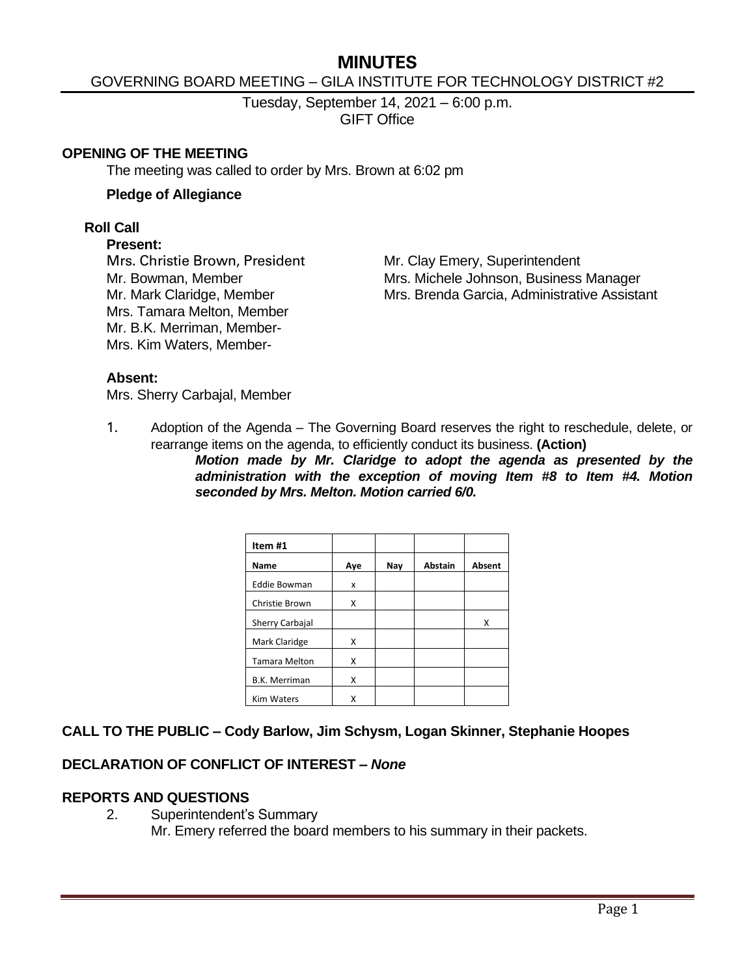# **MINUTES**

### GOVERNING BOARD MEETING – GILA INSTITUTE FOR TECHNOLOGY DISTRICT #2

Tuesday, September 14, 2021 – 6:00 p.m. GIFT Office

#### **OPENING OF THE MEETING**

The meeting was called to order by Mrs. Brown at 6:02 pm

#### **Pledge of Allegiance**

#### **Roll Call**

#### **Present:**

Mrs. Christie Brown, President Mr. Clay Emery, Superintendent Mrs. Tamara Melton, Member Mr. B.K. Merriman, Member-Mrs. Kim Waters, Member-

Mr. Bowman, Member Mrs. Michele Johnson, Business Manager Mr. Mark Claridge, Member Mrs. Brenda Garcia, Administrative Assistant

#### **Absent:**

Mrs. Sherry Carbajal, Member

1. Adoption of the Agenda – The Governing Board reserves the right to reschedule, delete, or rearrange items on the agenda, to efficiently conduct its business. **(Action)**

> *Motion made by Mr. Claridge to adopt the agenda as presented by the administration with the exception of moving Item #8 to Item #4. Motion seconded by Mrs. Melton. Motion carried 6/0.*

| Item #1              |     |     |                |               |
|----------------------|-----|-----|----------------|---------------|
| Name                 | Aye | Nay | <b>Abstain</b> | <b>Absent</b> |
| <b>Eddie Bowman</b>  | x   |     |                |               |
| Christie Brown       | X   |     |                |               |
| Sherry Carbajal      |     |     |                | x             |
| Mark Claridge        | x   |     |                |               |
| <b>Tamara Melton</b> | X   |     |                |               |
| B.K. Merriman        | X   |     |                |               |
| <b>Kim Waters</b>    | x   |     |                |               |

#### **CALL TO THE PUBLIC – Cody Barlow, Jim Schysm, Logan Skinner, Stephanie Hoopes**

#### **DECLARATION OF CONFLICT OF INTEREST –** *None*

#### **REPORTS AND QUESTIONS**

2. Superintendent's Summary Mr. Emery referred the board members to his summary in their packets.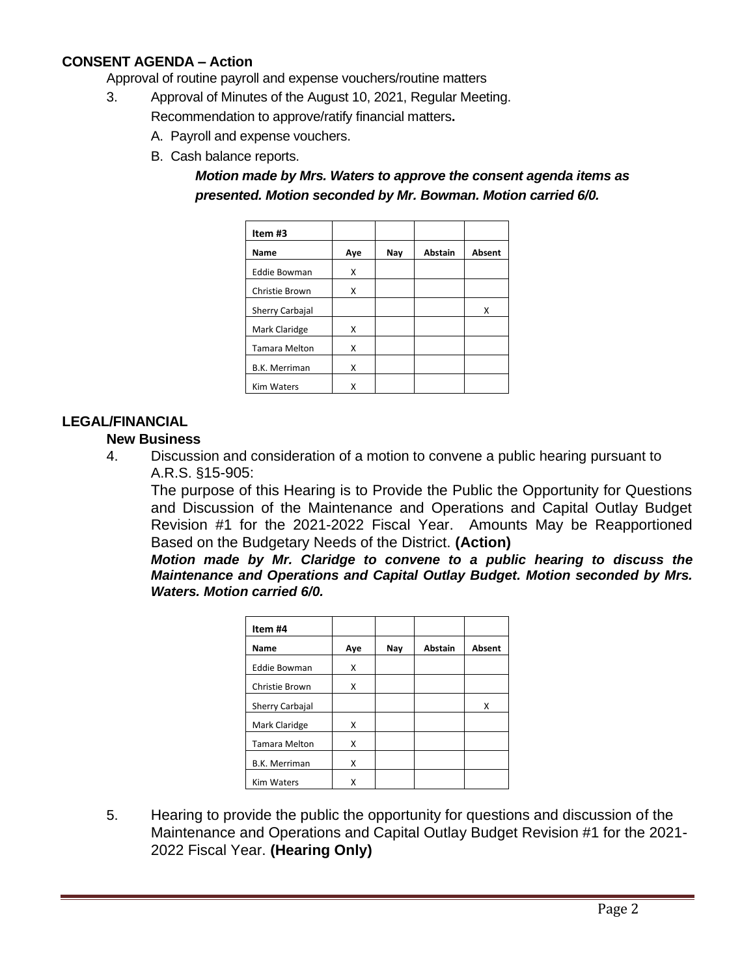### **CONSENT AGENDA – Action**

Approval of routine payroll and expense vouchers/routine matters

- 3. Approval of Minutes of the August 10, 2021, Regular Meeting.
	- Recommendation to approve/ratify financial matters**.**
		- A. Payroll and expense vouchers.
		- B. Cash balance reports.

*Motion made by Mrs. Waters to approve the consent agenda items as presented. Motion seconded by Mr. Bowman. Motion carried 6/0.*

| Item #3              |     |     |                |               |
|----------------------|-----|-----|----------------|---------------|
| Name                 | Aye | Nay | <b>Abstain</b> | <b>Absent</b> |
| <b>Eddie Bowman</b>  | x   |     |                |               |
| Christie Brown       | X   |     |                |               |
| Sherry Carbajal      |     |     |                | x             |
| Mark Claridge        | X   |     |                |               |
| <b>Tamara Melton</b> | x   |     |                |               |
| <b>B.K. Merriman</b> | x   |     |                |               |
| <b>Kim Waters</b>    | Χ   |     |                |               |

### **LEGAL/FINANCIAL**

### **New Business**

4. Discussion and consideration of a motion to convene a public hearing pursuant to A.R.S. §15-905:

The purpose of this Hearing is to Provide the Public the Opportunity for Questions and Discussion of the Maintenance and Operations and Capital Outlay Budget Revision #1 for the 2021-2022 Fiscal Year. Amounts May be Reapportioned Based on the Budgetary Needs of the District. **(Action)**

*Motion made by Mr. Claridge to convene to a public hearing to discuss the Maintenance and Operations and Capital Outlay Budget. Motion seconded by Mrs. Waters. Motion carried 6/0.*

| Item #4              |     |     |                |               |
|----------------------|-----|-----|----------------|---------------|
| Name                 | Aye | Nay | <b>Abstain</b> | <b>Absent</b> |
| <b>Eddie Bowman</b>  | X   |     |                |               |
| Christie Brown       | X   |     |                |               |
| Sherry Carbajal      |     |     |                | x             |
| Mark Claridge        | X   |     |                |               |
| <b>Tamara Melton</b> | X   |     |                |               |
| <b>B.K. Merriman</b> | X   |     |                |               |
| <b>Kim Waters</b>    | Χ   |     |                |               |

5. Hearing to provide the public the opportunity for questions and discussion of the Maintenance and Operations and Capital Outlay Budget Revision #1 for the 2021- 2022 Fiscal Year. **(Hearing Only)**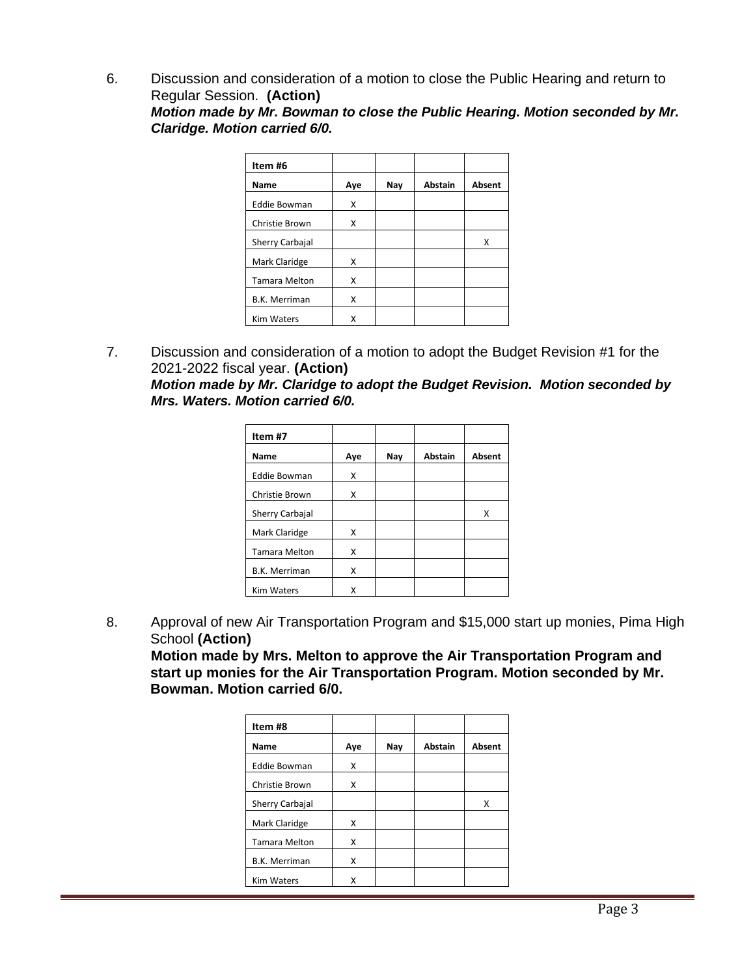6. Discussion and consideration of a motion to close the Public Hearing and return to Regular Session. **(Action)**

*Motion made by Mr. Bowman to close the Public Hearing. Motion seconded by Mr. Claridge. Motion carried 6/0.*

| Item #6              |     |     |         |        |
|----------------------|-----|-----|---------|--------|
| Name                 | Aye | Nay | Abstain | Absent |
| <b>Eddie Bowman</b>  | X   |     |         |        |
| Christie Brown       | X   |     |         |        |
| Sherry Carbajal      |     |     |         | Χ      |
| Mark Claridge        | X   |     |         |        |
| <b>Tamara Melton</b> | X   |     |         |        |
| <b>B.K. Merriman</b> | X   |     |         |        |
| <b>Kim Waters</b>    | x   |     |         |        |

7. Discussion and consideration of a motion to adopt the Budget Revision #1 for the 2021-2022 fiscal year. **(Action)**

*Motion made by Mr. Claridge to adopt the Budget Revision. Motion seconded by Mrs. Waters. Motion carried 6/0.*

| Item #7              |     |     |                |               |
|----------------------|-----|-----|----------------|---------------|
| Name                 | Aye | Nay | <b>Abstain</b> | <b>Absent</b> |
| <b>Eddie Bowman</b>  | X   |     |                |               |
| Christie Brown       | X   |     |                |               |
| Sherry Carbajal      |     |     |                | Χ             |
| Mark Claridge        | x   |     |                |               |
| <b>Tamara Melton</b> | x   |     |                |               |
| <b>B.K. Merriman</b> | X   |     |                |               |
| <b>Kim Waters</b>    | x   |     |                |               |

8. Approval of new Air Transportation Program and \$15,000 start up monies, Pima High School **(Action)**

**Motion made by Mrs. Melton to approve the Air Transportation Program and start up monies for the Air Transportation Program. Motion seconded by Mr. Bowman. Motion carried 6/0.**

| Item #8              |     |     |                |        |
|----------------------|-----|-----|----------------|--------|
| Name                 | Aye | Nay | <b>Abstain</b> | Absent |
| <b>Eddie Bowman</b>  | X   |     |                |        |
| Christie Brown       | X   |     |                |        |
| Sherry Carbajal      |     |     |                | Χ      |
| Mark Claridge        | X   |     |                |        |
| <b>Tamara Melton</b> | X   |     |                |        |
| <b>B.K. Merriman</b> | X   |     |                |        |
| <b>Kim Waters</b>    | x   |     |                |        |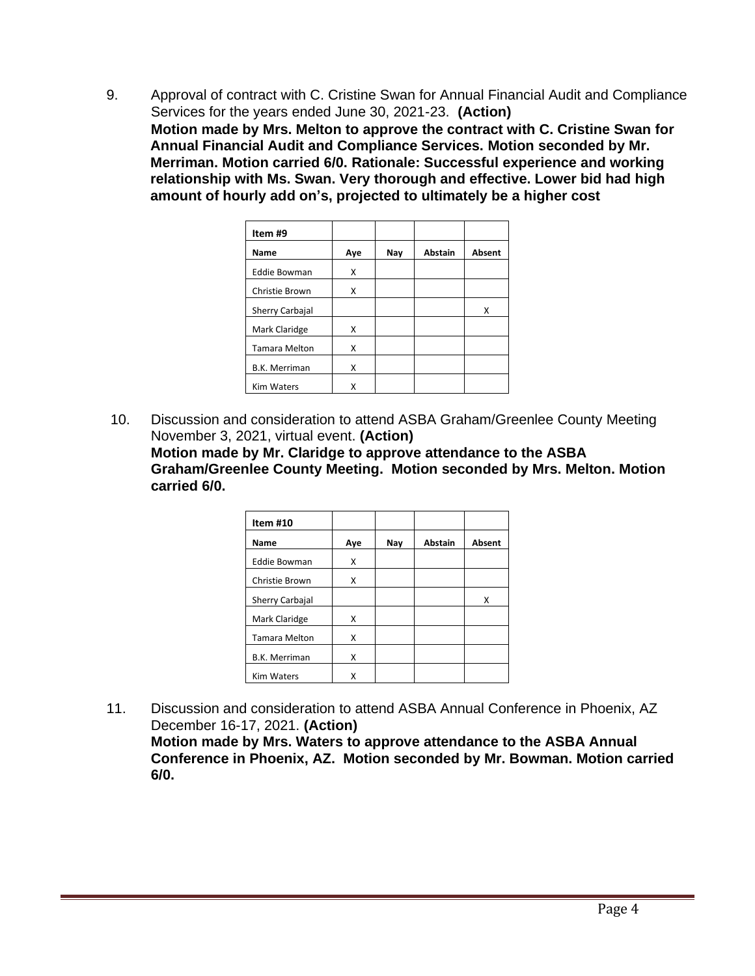9. Approval of contract with C. Cristine Swan for Annual Financial Audit and Compliance Services for the years ended June 30, 2021-23. **(Action) Motion made by Mrs. Melton to approve the contract with C. Cristine Swan for Annual Financial Audit and Compliance Services. Motion seconded by Mr. Merriman. Motion carried 6/0. Rationale: Successful experience and working relationship with Ms. Swan. Very thorough and effective. Lower bid had high amount of hourly add on's, projected to ultimately be a higher cost**

| Item #9              |     |     |                |               |
|----------------------|-----|-----|----------------|---------------|
| Name                 | Aye | Nay | <b>Abstain</b> | <b>Absent</b> |
| <b>Eddie Bowman</b>  | X   |     |                |               |
| Christie Brown       | x   |     |                |               |
| Sherry Carbajal      |     |     |                | x             |
| Mark Claridge        | x   |     |                |               |
| <b>Tamara Melton</b> | X   |     |                |               |
| <b>B.K. Merriman</b> | X   |     |                |               |
| <b>Kim Waters</b>    | X   |     |                |               |

10. Discussion and consideration to attend ASBA Graham/Greenlee County Meeting November 3, 2021, virtual event. **(Action) Motion made by Mr. Claridge to approve attendance to the ASBA Graham/Greenlee County Meeting. Motion seconded by Mrs. Melton. Motion carried 6/0.**

| Item #10             |     |     |                |               |
|----------------------|-----|-----|----------------|---------------|
| Name                 | Aye | Nay | <b>Abstain</b> | <b>Absent</b> |
| <b>Eddie Bowman</b>  | X   |     |                |               |
| Christie Brown       | X   |     |                |               |
| Sherry Carbajal      |     |     |                | x             |
| Mark Claridge        | X   |     |                |               |
| <b>Tamara Melton</b> | X   |     |                |               |
| <b>B.K. Merriman</b> | X   |     |                |               |
| <b>Kim Waters</b>    | Χ   |     |                |               |

11. Discussion and consideration to attend ASBA Annual Conference in Phoenix, AZ December 16-17, 2021. **(Action) Motion made by Mrs. Waters to approve attendance to the ASBA Annual Conference in Phoenix, AZ. Motion seconded by Mr. Bowman. Motion carried 6/0.**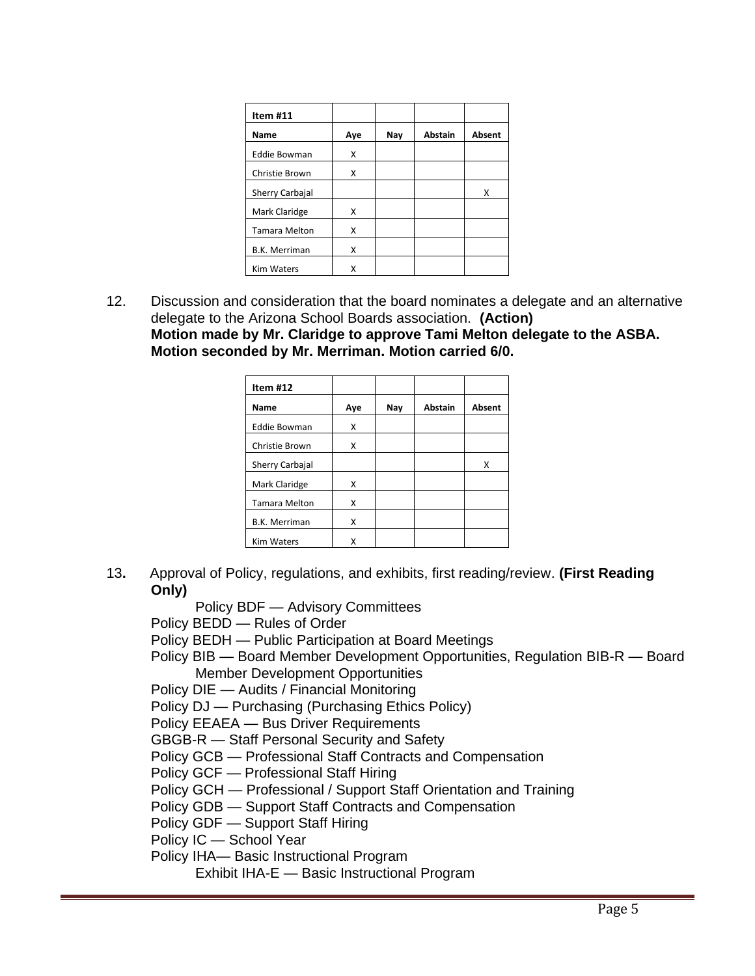| Item $#11$           |     |     |                |               |
|----------------------|-----|-----|----------------|---------------|
| Name                 | Aye | Nay | <b>Abstain</b> | <b>Absent</b> |
| <b>Eddie Bowman</b>  | X   |     |                |               |
| Christie Brown       | X   |     |                |               |
| Sherry Carbajal      |     |     |                | Χ             |
| Mark Claridge        | x   |     |                |               |
| <b>Tamara Melton</b> | X   |     |                |               |
| B.K. Merriman        | X   |     |                |               |
| <b>Kim Waters</b>    | x   |     |                |               |

12. Discussion and consideration that the board nominates a delegate and an alternative delegate to the Arizona School Boards association. **(Action) Motion made by Mr. Claridge to approve Tami Melton delegate to the ASBA. Motion seconded by Mr. Merriman. Motion carried 6/0.**

| Item $#12$           |     |     |                |        |
|----------------------|-----|-----|----------------|--------|
| Name                 | Aye | Nay | <b>Abstain</b> | Absent |
| <b>Eddie Bowman</b>  | X   |     |                |        |
| Christie Brown       | x   |     |                |        |
| Sherry Carbajal      |     |     |                | x      |
| Mark Claridge        | x   |     |                |        |
| <b>Tamara Melton</b> | X   |     |                |        |
| B.K. Merriman        | X   |     |                |        |
| <b>Kim Waters</b>    | Χ   |     |                |        |

- 13**.** Approval of Policy, regulations, and exhibits, first reading/review. **(First Reading Only)**
	- Policy BDF Advisory Committees
	- Policy BEDD Rules of Order
	- Policy BEDH Public Participation at Board Meetings
	- Policy BIB Board Member Development Opportunities, Regulation BIB-R Board Member Development Opportunities
	- Policy DIE Audits / Financial Monitoring
	- Policy DJ Purchasing (Purchasing Ethics Policy)
	- Policy EEAEA Bus Driver Requirements
	- GBGB-R Staff Personal Security and Safety
	- Policy GCB Professional Staff Contracts and Compensation
	- Policy GCF Professional Staff Hiring
	- Policy GCH Professional / Support Staff Orientation and Training
	- Policy GDB Support Staff Contracts and Compensation
	- Policy GDF Support Staff Hiring
	- Policy IC School Year
	- Policy IHA— Basic Instructional Program
		- Exhibit IHA-E Basic Instructional Program